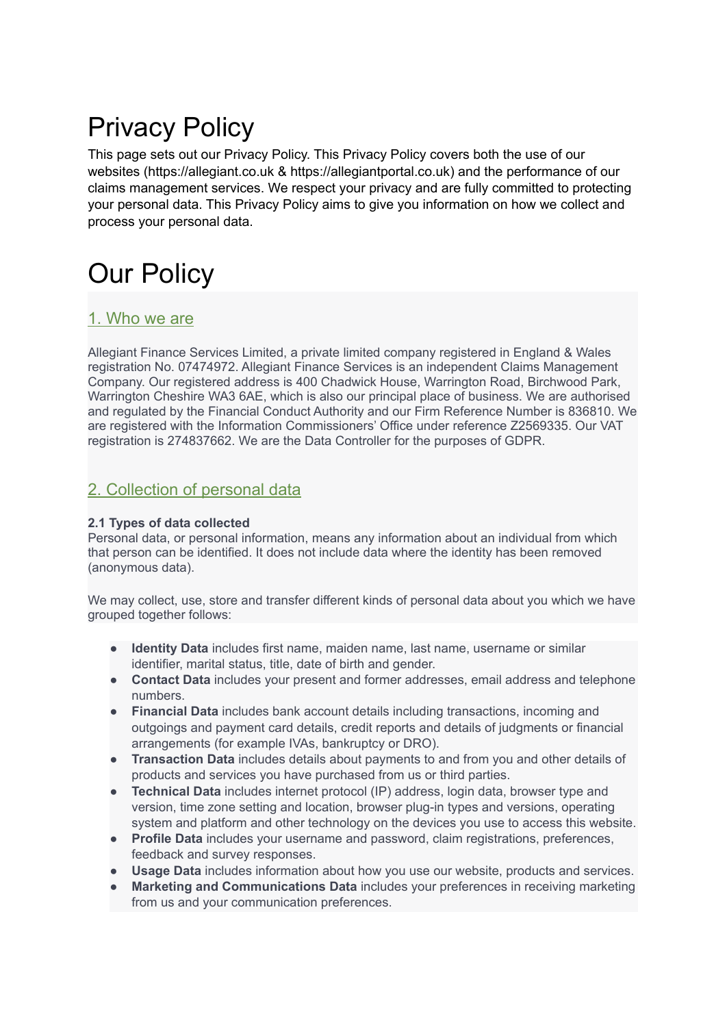# Privacy Policy

This page sets out our Privacy Policy. This Privacy Policy covers both the use of our websites (https://allegiant.co.uk & https://allegiantportal.co.uk) and the performance of our claims management services. We respect your privacy and are fully committed to protecting your personal data. This Privacy Policy aims to give you information on how we collect and process your personal data.

# Our Policy

# 1. Who we are

Allegiant Finance Services Limited, a private limited company registered in England & Wales registration No. 07474972. Allegiant Finance Services is an independent Claims Management Company. Our registered address is 400 Chadwick House, Warrington Road, Birchwood Park, Warrington Cheshire WA3 6AE, which is also our principal place of business. We are authorised and regulated by the Financial Conduct Authority and our Firm Reference Number is 836810. We are registered with the Information Commissioners' Office under reference Z2569335. Our VAT registration is 274837662. We are the Data Controller for the purposes of GDPR.

# 2. Collection of personal data

#### **2.1 Types of data collected**

Personal data, or personal information, means any information about an individual from which that person can be identified. It does not include data where the identity has been removed (anonymous data).

We may collect, use, store and transfer different kinds of personal data about you which we have grouped together follows:

- **Identity Data** includes first name, maiden name, last name, username or similar identifier, marital status, title, date of birth and gender.
- **Contact Data** includes your present and former addresses, email address and telephone numbers.
- **Financial Data** includes bank account details including transactions, incoming and outgoings and payment card details, credit reports and details of judgments or financial arrangements (for example IVAs, bankruptcy or DRO).
- **Transaction Data** includes details about payments to and from you and other details of products and services you have purchased from us or third parties.
- **Technical Data** includes internet protocol (IP) address, login data, browser type and version, time zone setting and location, browser plug-in types and versions, operating system and platform and other technology on the devices you use to access this website.
- **Profile Data** includes your username and password, claim registrations, preferences, feedback and survey responses.
- **Usage Data** includes information about how you use our website, products and services.
- **Marketing and Communications Data** includes your preferences in receiving marketing from us and your communication preferences.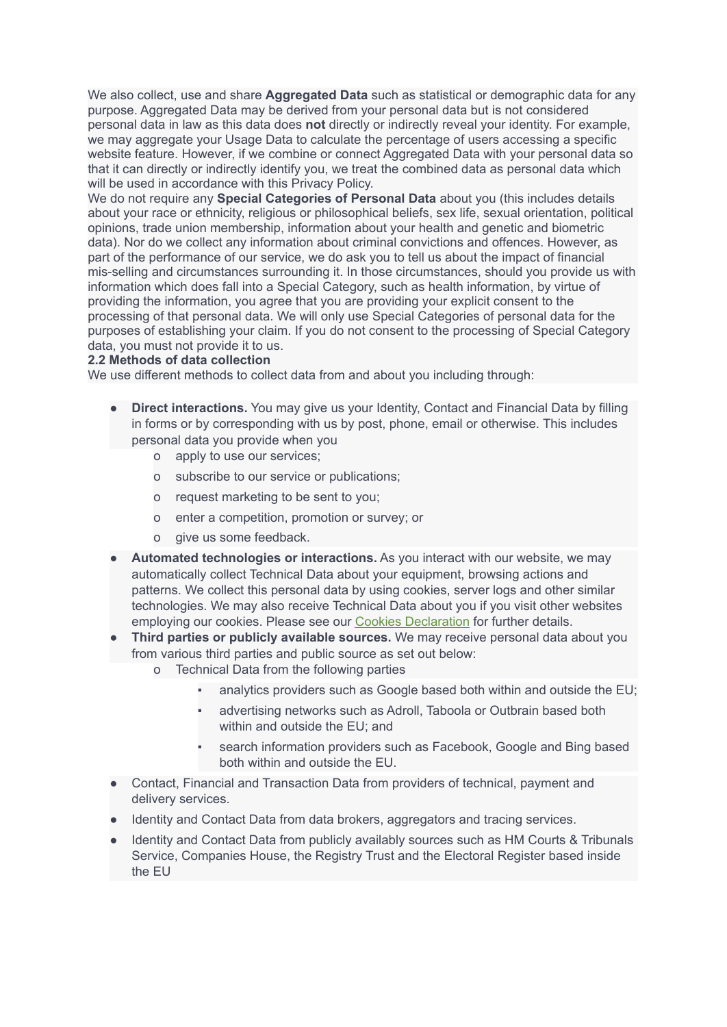We also collect, use and share **Aggregated Data** such as statistical or demographic data for any purpose. Aggregated Data may be derived from your personal data but is not considered personal data in law as this data does **not** directly or indirectly reveal your identity. For example, we may aggregate your Usage Data to calculate the percentage of users accessing a specific website feature. However, if we combine or connect Aggregated Data with your personal data so that it can directly or indirectly identify you, we treat the combined data as personal data which will be used in accordance with this Privacy Policy.

We do not require any **Special Categories of Personal Data** about you (this includes details about your race or ethnicity, religious or philosophical beliefs, sex life, sexual orientation, political opinions, trade union membership, information about your health and genetic and biometric data). Nor do we collect any information about criminal convictions and offences. However, as part of the performance of our service, we do ask you to tell us about the impact of financial mis-selling and circumstances surrounding it. In those circumstances, should you provide us with information which does fall into a Special Category, such as health information, by virtue of providing the information, you agree that you are providing your explicit consent to the processing of that personal data. We will only use Special Categories of personal data for the purposes of establishing your claim. If you do not consent to the processing of Special Category data, you must not provide it to us.

#### **2.2 Methods of data collection**

We use different methods to collect data from and about you including through:

- **Direct interactions.** You may give us your Identity, Contact and Financial Data by filling in forms or by corresponding with us by post, phone, email or otherwise. This includes personal data you provide when you
	- o apply to use our services;
	- o subscribe to our service or publications;
	- o request marketing to be sent to you;
	- o enter a competition, promotion or survey; or
	- o give us some feedback.
- **Automated technologies or interactions.** As you interact with our website, we may automatically collect Technical Data about your equipment, browsing actions and patterns. We collect this personal data by using cookies, server logs and other similar technologies. We may also receive Technical Data about you if you visit other websites employing our cookies. Please see our [Cookies Declaration](https://allegiant.co.uk/legal/cookies/) for further details.
- **Third parties or publicly available sources.** We may receive personal data about you from various third parties and public source as set out below:
	- o Technical Data from the following parties
		- **analytics providers such as Google based both within and outside the EU;**
		- advertising networks such as Adroll, Taboola or Outbrain based both within and outside the EU; and
		- search information providers such as Facebook, Google and Bing based both within and outside the EU.
- Contact, Financial and Transaction Data from providers of technical, payment and delivery services.
- Identity and Contact Data from data brokers, aggregators and tracing services.
- Identity and Contact Data from publicly availably sources such as HM Courts & Tribunals Service, Companies House, the Registry Trust and the Electoral Register based inside the EU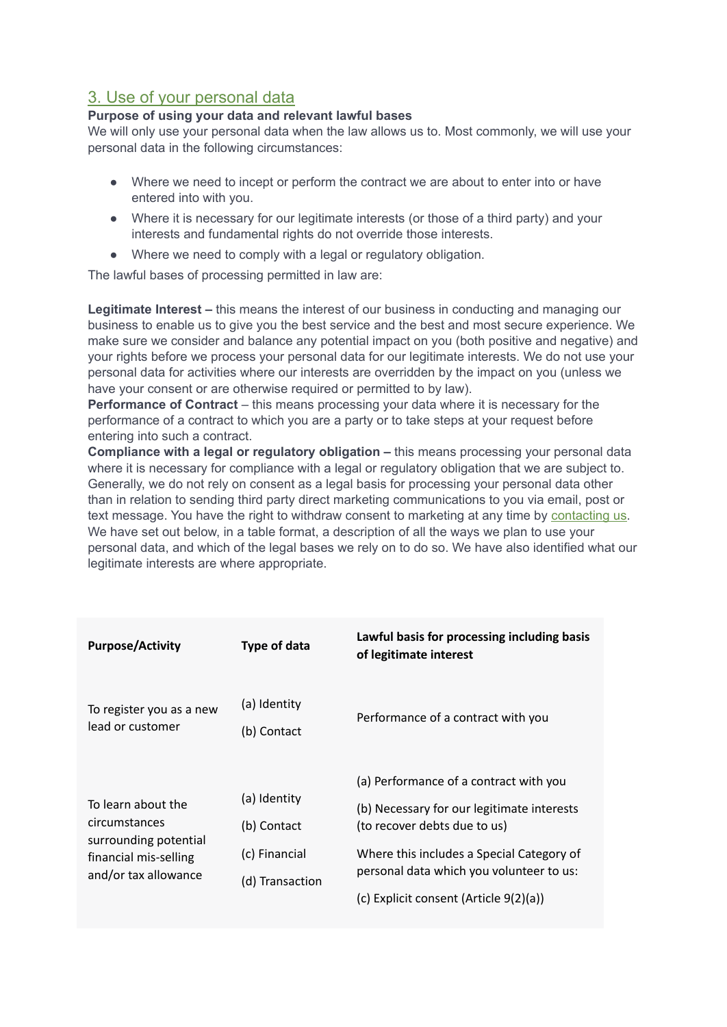# 3. Use of your personal data

#### **Purpose of using your data and relevant lawful bases**

We will only use your personal data when the law allows us to. Most commonly, we will use your personal data in the following circumstances:

- Where we need to incept or perform the contract we are about to enter into or have entered into with you.
- Where it is necessary for our legitimate interests (or those of a third party) and your interests and fundamental rights do not override those interests.
- Where we need to comply with a legal or regulatory obligation.

The lawful bases of processing permitted in law are:

**Legitimate Interest –** this means the interest of our business in conducting and managing our business to enable us to give you the best service and the best and most secure experience. We make sure we consider and balance any potential impact on you (both positive and negative) and your rights before we process your personal data for our legitimate interests. We do not use your personal data for activities where our interests are overridden by the impact on you (unless we have your consent or are otherwise required or permitted to by law).

**Performance of Contract** – this means processing your data where it is necessary for the performance of a contract to which you are a party or to take steps at your request before entering into such a contract.

**Compliance with a legal or regulatory obligation –** this means processing your personal data where it is necessary for compliance with a legal or regulatory obligation that we are subject to. Generally, we do not rely on consent as a legal basis for processing your personal data other than in relation to sending third party direct marketing communications to you via email, post or text message. You have the right to withdraw consent to marketing at any time by [contacting us](https://allegiant.co.uk/contact-us/). We have set out below, in a table format, a description of all the ways we plan to use your personal data, and which of the legal bases we rely on to do so. We have also identified what our legitimate interests are where appropriate.

| <b>Purpose/Activity</b>                                                                                       | Type of data                | Lawful basis for processing including basis<br>of legitimate interest                                                                                               |
|---------------------------------------------------------------------------------------------------------------|-----------------------------|---------------------------------------------------------------------------------------------------------------------------------------------------------------------|
| To register you as a new<br>lead or customer                                                                  | (a) Identity<br>(b) Contact | Performance of a contract with you                                                                                                                                  |
|                                                                                                               |                             |                                                                                                                                                                     |
| To learn about the<br>circumstances<br>surrounding potential<br>financial mis-selling<br>and/or tax allowance | (a) Identity                | (a) Performance of a contract with you                                                                                                                              |
|                                                                                                               |                             | (b) Necessary for our legitimate interests<br>(to recover debts due to us)<br>Where this includes a Special Category of<br>personal data which you volunteer to us: |
|                                                                                                               | (b) Contact                 |                                                                                                                                                                     |
|                                                                                                               | (c) Financial               |                                                                                                                                                                     |
|                                                                                                               | (d) Transaction             |                                                                                                                                                                     |
|                                                                                                               |                             |                                                                                                                                                                     |
|                                                                                                               |                             | (c) Explicit consent (Article 9(2)(a))                                                                                                                              |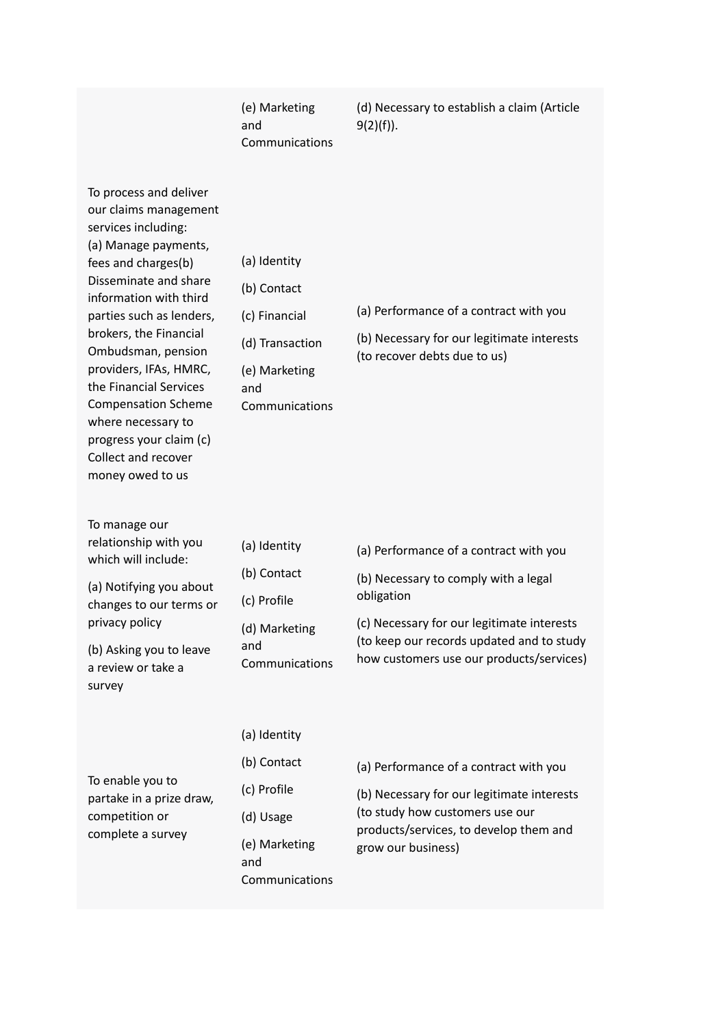|                                                                                                                                                                                                                                                                                                                                                                                                                                    | (e) Marketing<br>and<br>Communications                                                                    | (d) Necessary to establish a claim (Article<br>$9(2)(f)$ ).                                                                                                                                                                         |
|------------------------------------------------------------------------------------------------------------------------------------------------------------------------------------------------------------------------------------------------------------------------------------------------------------------------------------------------------------------------------------------------------------------------------------|-----------------------------------------------------------------------------------------------------------|-------------------------------------------------------------------------------------------------------------------------------------------------------------------------------------------------------------------------------------|
| To process and deliver<br>our claims management<br>services including:<br>(a) Manage payments,<br>fees and charges(b)<br>Disseminate and share<br>information with third<br>parties such as lenders,<br>brokers, the Financial<br>Ombudsman, pension<br>providers, IFAs, HMRC,<br>the Financial Services<br><b>Compensation Scheme</b><br>where necessary to<br>progress your claim (c)<br>Collect and recover<br>money owed to us | (a) Identity<br>(b) Contact<br>(c) Financial<br>(d) Transaction<br>(e) Marketing<br>and<br>Communications | (a) Performance of a contract with you<br>(b) Necessary for our legitimate interests<br>(to recover debts due to us)                                                                                                                |
| To manage our<br>relationship with you<br>which will include:<br>(a) Notifying you about<br>changes to our terms or<br>privacy policy<br>(b) Asking you to leave<br>a review or take a<br>survey                                                                                                                                                                                                                                   | (a) Identity<br>(b) Contact<br>(c) Profile<br>(d) Marketing<br>and<br>Communications                      | (a) Performance of a contract with you<br>(b) Necessary to comply with a legal<br>obligation<br>(c) Necessary for our legitimate interests<br>(to keep our records updated and to study<br>how customers use our products/services) |
| To enable you to<br>partake in a prize draw,<br>competition or<br>complete a survey                                                                                                                                                                                                                                                                                                                                                | (a) Identity<br>(b) Contact<br>(c) Profile<br>(d) Usage<br>(e) Marketing<br>and<br>Communications         | (a) Performance of a contract with you<br>(b) Necessary for our legitimate interests<br>(to study how customers use our<br>products/services, to develop them and<br>grow our business)                                             |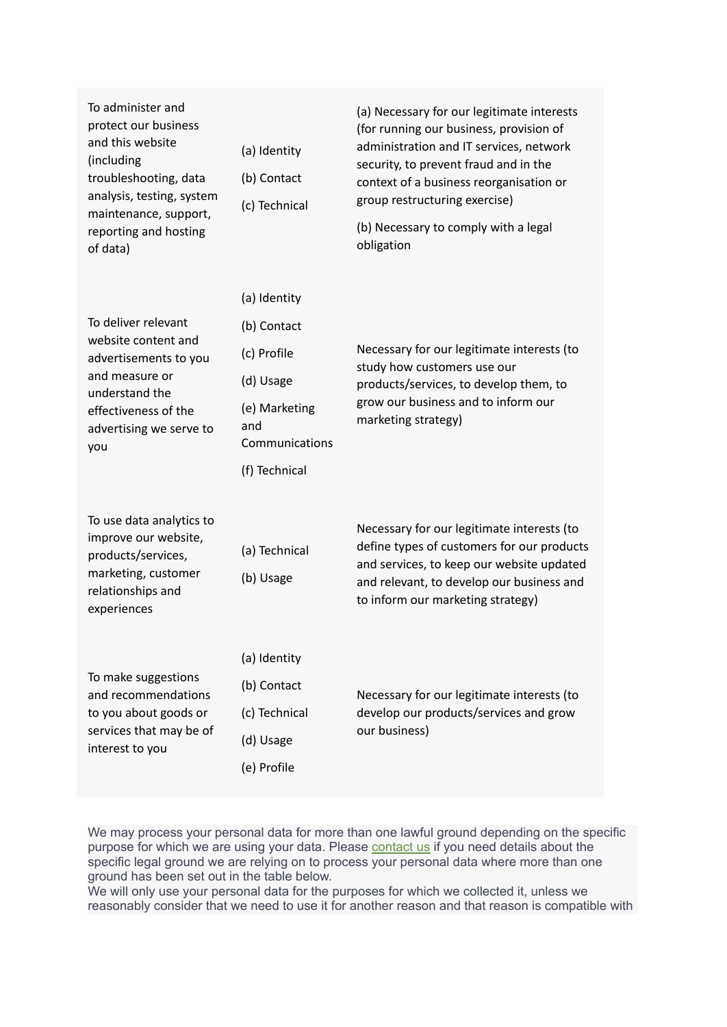| To administer and<br>protect our business<br>and this website<br>(including<br>troubleshooting, data<br>analysis, testing, system<br>maintenance, support,<br>reporting and hosting<br>of data) | (a) Identity<br>(b) Contact<br>(c) Technical                                                                       | (a) Necessary for our legitimate interests<br>(for running our business, provision of<br>administration and IT services, network<br>security, to prevent fraud and in the<br>context of a business reorganisation or<br>group restructuring exercise)<br>(b) Necessary to comply with a legal<br>obligation |
|-------------------------------------------------------------------------------------------------------------------------------------------------------------------------------------------------|--------------------------------------------------------------------------------------------------------------------|-------------------------------------------------------------------------------------------------------------------------------------------------------------------------------------------------------------------------------------------------------------------------------------------------------------|
| To deliver relevant<br>website content and<br>advertisements to you<br>and measure or<br>understand the<br>effectiveness of the<br>advertising we serve to<br>you                               | (a) Identity<br>(b) Contact<br>(c) Profile<br>(d) Usage<br>(e) Marketing<br>and<br>Communications<br>(f) Technical | Necessary for our legitimate interests (to<br>study how customers use our<br>products/services, to develop them, to<br>grow our business and to inform our<br>marketing strategy)                                                                                                                           |
| To use data analytics to<br>improve our website,<br>products/services,<br>marketing, customer<br>relationships and<br>experiences                                                               | (a) Technical<br>(b) Usage                                                                                         | Necessary for our legitimate interests (to<br>define types of customers for our products<br>and services, to keep our website updated<br>and relevant, to develop our business and<br>to inform our marketing strategy)                                                                                     |
| To make suggestions<br>and recommendations<br>to you about goods or<br>services that may be of<br>interest to you                                                                               | (a) Identity<br>(b) Contact<br>(c) Technical<br>(d) Usage<br>(e) Profile                                           | Necessary for our legitimate interests (to<br>develop our products/services and grow<br>our business)                                                                                                                                                                                                       |

We may process your personal data for more than one lawful ground depending on the specific purpose for which we are using your data. Please [contact](https://allegiant.co.uk/contact-us/) us if you need details about the specific legal ground we are relying on to process your personal data where more than one ground has been set out in the table below.

We will only use your personal data for the purposes for which we collected it, unless we reasonably consider that we need to use it for another reason and that reason is compatible with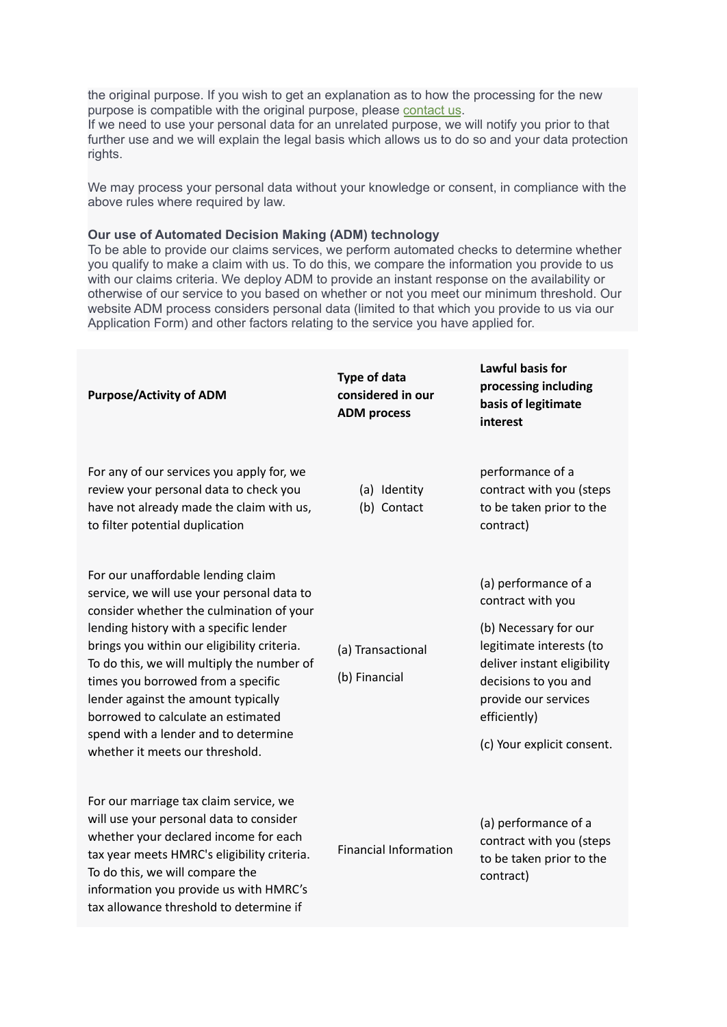the original purpose. If you wish to get an explanation as to how the processing for the new purpose is compatible with the original purpose, please [contact](https://allegiant.co.uk/contact-us/) us.

If we need to use your personal data for an unrelated purpose, we will notify you prior to that further use and we will explain the legal basis which allows us to do so and your data protection rights.

We may process your personal data without your knowledge or consent, in compliance with the above rules where required by law.

#### **Our use of Automated Decision Making (ADM) technology**

To be able to provide our claims services, we perform automated checks to determine whether you qualify to make a claim with us. To do this, we compare the information you provide to us with our claims criteria. We deploy ADM to provide an instant response on the availability or otherwise of our service to you based on whether or not you meet our minimum threshold. Our website ADM process considers personal data (limited to that which you provide to us via our Application Form) and other factors relating to the service you have applied for.

| <b>Purpose/Activity of ADM</b>                                                                                                                                                                                                                                                                    | <b>Type of data</b><br>considered in our<br><b>ADM</b> process | <b>Lawful basis for</b><br>processing including<br>basis of legitimate<br>interest                                            |
|---------------------------------------------------------------------------------------------------------------------------------------------------------------------------------------------------------------------------------------------------------------------------------------------------|----------------------------------------------------------------|-------------------------------------------------------------------------------------------------------------------------------|
| For any of our services you apply for, we<br>review your personal data to check you<br>have not already made the claim with us,<br>to filter potential duplication                                                                                                                                | (a) Identity<br>(b) Contact                                    | performance of a<br>contract with you (steps<br>to be taken prior to the<br>contract)                                         |
| For our unaffordable lending claim<br>service, we will use your personal data to<br>consider whether the culmination of your<br>lending history with a specific lender<br>brings you within our eligibility criteria.<br>To do this, we will multiply the number of                               | (a) Transactional<br>(b) Financial                             | (a) performance of a<br>contract with you<br>(b) Necessary for our<br>legitimate interests (to<br>deliver instant eligibility |
| times you borrowed from a specific<br>lender against the amount typically<br>borrowed to calculate an estimated<br>spend with a lender and to determine<br>whether it meets our threshold.                                                                                                        |                                                                | decisions to you and<br>provide our services<br>efficiently)<br>(c) Your explicit consent.                                    |
| For our marriage tax claim service, we<br>will use your personal data to consider<br>whether your declared income for each<br>tax year meets HMRC's eligibility criteria.<br>To do this, we will compare the<br>information you provide us with HMRC's<br>tax allowance threshold to determine if | <b>Financial Information</b>                                   | (a) performance of a<br>contract with you (steps<br>to be taken prior to the<br>contract)                                     |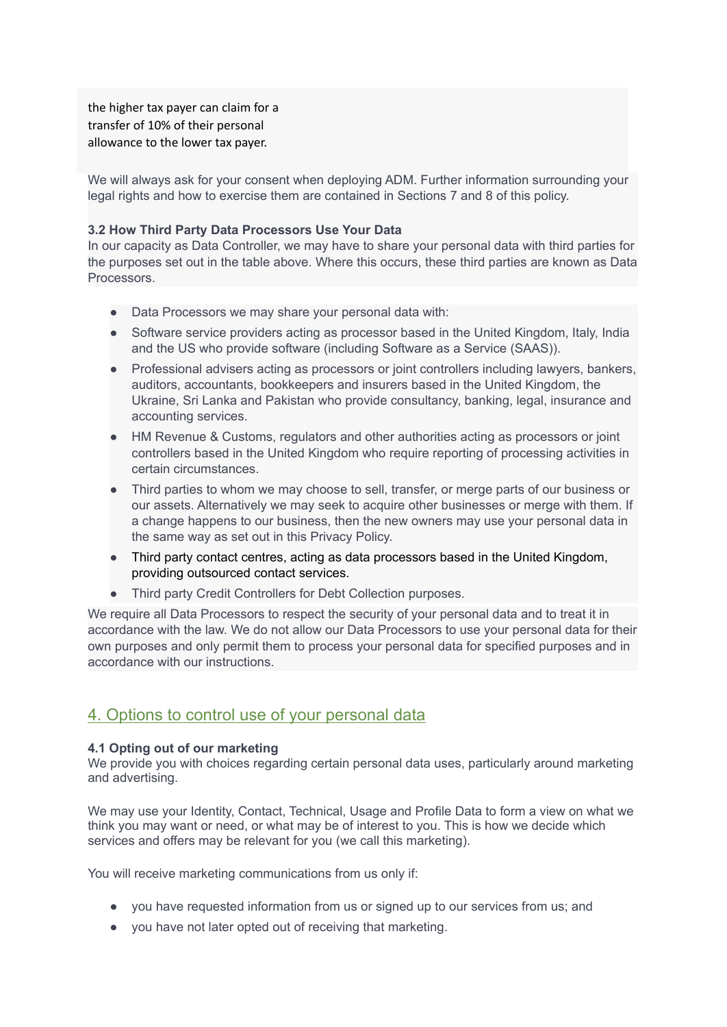the higher tax payer can claim for a transfer of 10% of their personal allowance to the lower tax payer.

We will always ask for your consent when deploying ADM. Further information surrounding your legal rights and how to exercise them are contained in Sections 7 and 8 of this policy.

#### **3.2 How Third Party Data Processors Use Your Data**

In our capacity as Data Controller, we may have to share your personal data with third parties for the purposes set out in the table above. Where this occurs, these third parties are known as Data Processors.

- Data Processors we may share your personal data with:
- Software service providers acting as processor based in the United Kingdom, Italy, India and the US who provide software (including Software as a Service (SAAS)).
- Professional advisers acting as processors or joint controllers including lawyers, bankers, auditors, accountants, bookkeepers and insurers based in the United Kingdom, the Ukraine, Sri Lanka and Pakistan who provide consultancy, banking, legal, insurance and accounting services.
- HM Revenue & Customs, regulators and other authorities acting as processors or joint controllers based in the United Kingdom who require reporting of processing activities in certain circumstances.
- Third parties to whom we may choose to sell, transfer, or merge parts of our business or our assets. Alternatively we may seek to acquire other businesses or merge with them. If a change happens to our business, then the new owners may use your personal data in the same way as set out in this Privacy Policy.
- Third party contact centres, acting as data processors based in the United Kingdom, providing outsourced contact services.
- Third party Credit Controllers for Debt Collection purposes.

We require all Data Processors to respect the security of your personal data and to treat it in accordance with the law. We do not allow our Data Processors to use your personal data for their own purposes and only permit them to process your personal data for specified purposes and in accordance with our instructions.

### 4. Options to control use of your personal data

#### **4.1 Opting out of our marketing**

We provide you with choices regarding certain personal data uses, particularly around marketing and advertising.

We may use your Identity, Contact, Technical, Usage and Profile Data to form a view on what we think you may want or need, or what may be of interest to you. This is how we decide which services and offers may be relevant for you (we call this marketing).

You will receive marketing communications from us only if:

- you have requested information from us or signed up to our services from us; and
- you have not later opted out of receiving that marketing.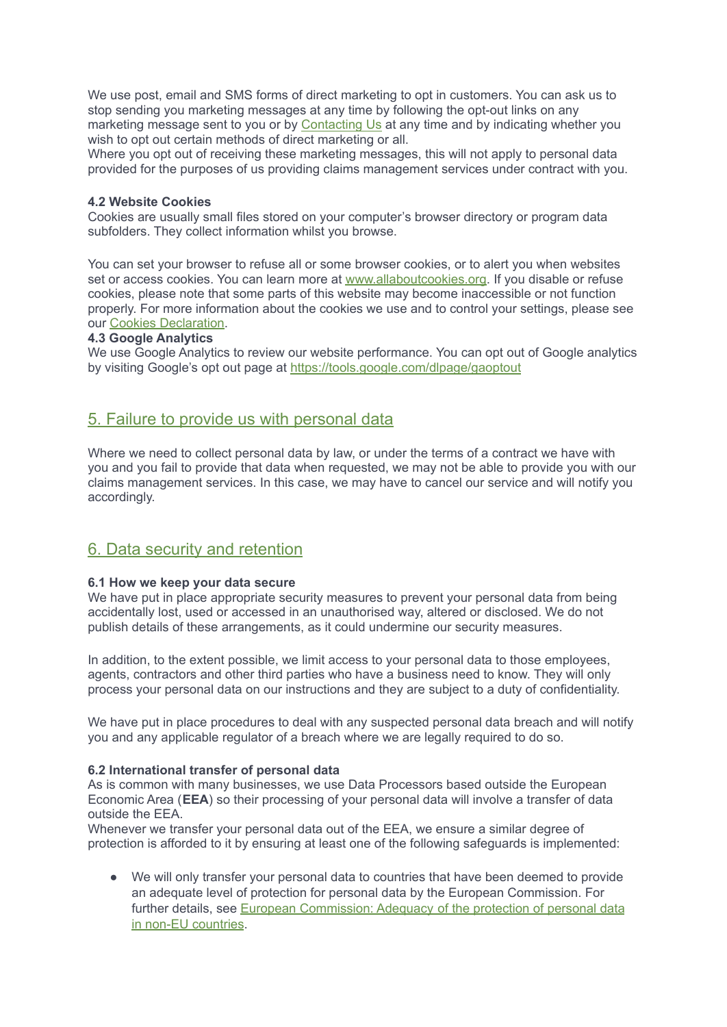We use post, email and SMS forms of direct marketing to opt in customers. You can ask us to stop sending you marketing messages at any time by following the opt-out links on any marketing message sent to you or by [Contacting Us](https://allegiant.co.uk/contact-us/) at any time and by indicating whether you wish to opt out certain methods of direct marketing or all.

Where you opt out of receiving these marketing messages, this will not apply to personal data provided for the purposes of us providing claims management services under contract with you.

#### **4.2 Website Cookies**

Cookies are usually small files stored on your computer's browser directory or program data subfolders. They collect information whilst you browse.

You can set your browser to refuse all or some browser cookies, or to alert you when websites set or access cookies. You can learn more at [www.allaboutcookies.org](http://www.allaboutcookies.org/). If you disable or refuse cookies, please note that some parts of this website may become inaccessible or not function properly. For more information about the cookies we use and to control your settings, please see our [Cookies Declaration](https://allegiant.co.uk/legal/cookies/).

#### **4.3 Google Analytics**

We use Google Analytics to review our website performance. You can opt out of Google analytics by visiting Google's opt out page at <https://tools.google.com/dlpage/gaoptout>

#### 5. Failure to provide us with personal data

Where we need to collect personal data by law, or under the terms of a contract we have with you and you fail to provide that data when requested, we may not be able to provide you with our claims management services. In this case, we may have to cancel our service and will notify you accordingly.

### 6. Data security and retention

#### **6.1 How we keep your data secure**

We have put in place appropriate security measures to prevent your personal data from being accidentally lost, used or accessed in an unauthorised way, altered or disclosed. We do not publish details of these arrangements, as it could undermine our security measures.

In addition, to the extent possible, we limit access to your personal data to those employees, agents, contractors and other third parties who have a business need to know. They will only process your personal data on our instructions and they are subject to a duty of confidentiality.

We have put in place procedures to deal with any suspected personal data breach and will notify you and any applicable regulator of a breach where we are legally required to do so.

#### **6.2 International transfer of personal data**

As is common with many businesses, we use Data Processors based outside the European Economic Area (**EEA**) so their processing of your personal data will involve a transfer of data outside the EEA.

Whenever we transfer your personal data out of the EEA, we ensure a similar degree of protection is afforded to it by ensuring at least one of the following safeguards is implemented:

● We will only transfer your personal data to countries that have been deemed to provide an adequate level of protection for personal data by the European Commission. For further details, see [European Commission: Adequacy](https://ec.europa.eu/info/law/law-topic/data-protection/data-transfers-outside-eu/adequacy-protection-personal-data-non-eu-countries_en) of the protection of personal data [in non-EU countries](https://ec.europa.eu/info/law/law-topic/data-protection/data-transfers-outside-eu/adequacy-protection-personal-data-non-eu-countries_en).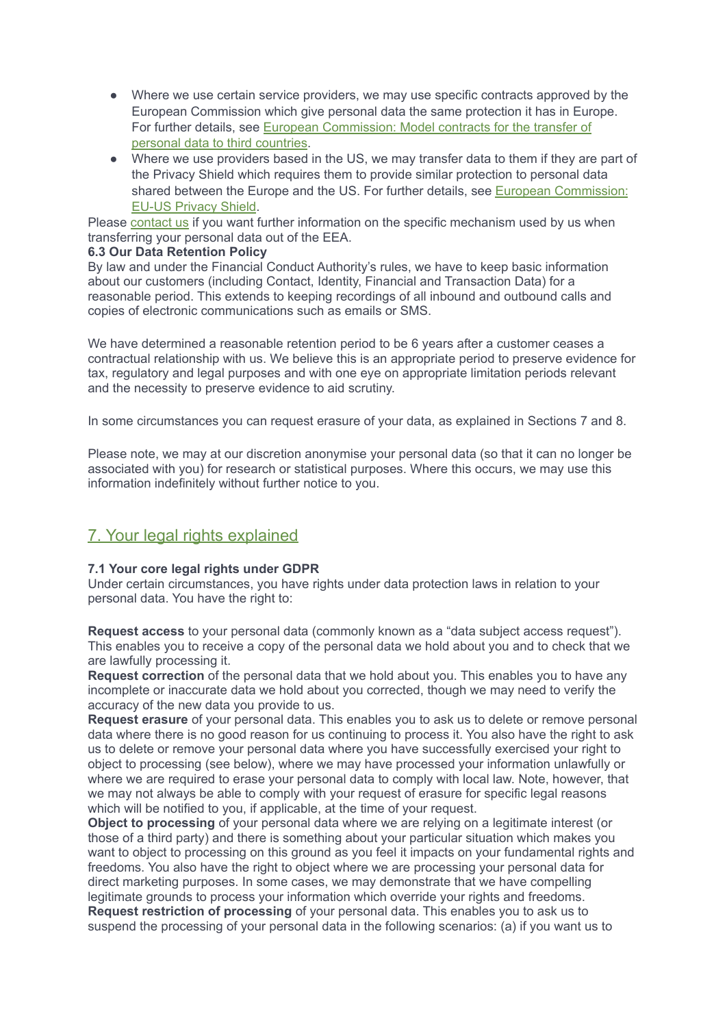- Where we use certain service providers, we may use specific contracts approved by the European Commission which give personal data the same protection it has in Europe. For further details, see [European Commission: Model](https://ec.europa.eu/info/strategy/justice-and-fundamental-rights/data-protection/data-transfers-outside-eu/model-contracts-transfer-personal-data-third-countries_en) contracts for the transfer of [personal data to third countries](https://ec.europa.eu/info/strategy/justice-and-fundamental-rights/data-protection/data-transfers-outside-eu/model-contracts-transfer-personal-data-third-countries_en).
- Where we use providers based in the US, we may transfer data to them if they are part of the Privacy Shield which requires them to provide similar protection to personal data shared between the Europe and the US. For further details, see [European Commission:](https://ec.europa.eu/info/strategy/justice-and-fundamental-rights/data-protection/data-transfers-outside-eu/eu-us-privacy-shield_en) [EU-US Privacy Shield](https://ec.europa.eu/info/strategy/justice-and-fundamental-rights/data-protection/data-transfers-outside-eu/eu-us-privacy-shield_en).

Please [contact us](https://allegiant.co.uk/contact-us/) if you want further information on the specific mechanism used by us when transferring your personal data out of the EEA.

#### **6.3 Our Data Retention Policy**

By law and under the Financial Conduct Authority's rules, we have to keep basic information about our customers (including Contact, Identity, Financial and Transaction Data) for a reasonable period. This extends to keeping recordings of all inbound and outbound calls and copies of electronic communications such as emails or SMS.

We have determined a reasonable retention period to be 6 years after a customer ceases a contractual relationship with us. We believe this is an appropriate period to preserve evidence for tax, regulatory and legal purposes and with one eye on appropriate limitation periods relevant and the necessity to preserve evidence to aid scrutiny.

In some circumstances you can request erasure of your data, as explained in Sections 7 and 8.

Please note, we may at our discretion anonymise your personal data (so that it can no longer be associated with you) for research or statistical purposes. Where this occurs, we may use this information indefinitely without further notice to you.

# 7. Your legal rights explained

#### **7.1 Your core legal rights under GDPR**

Under certain circumstances, you have rights under data protection laws in relation to your personal data. You have the right to:

**Request access** to your personal data (commonly known as a "data subject access request"). This enables you to receive a copy of the personal data we hold about you and to check that we are lawfully processing it.

**Request correction** of the personal data that we hold about you. This enables you to have any incomplete or inaccurate data we hold about you corrected, though we may need to verify the accuracy of the new data you provide to us.

**Request erasure** of your personal data. This enables you to ask us to delete or remove personal data where there is no good reason for us continuing to process it. You also have the right to ask us to delete or remove your personal data where you have successfully exercised your right to object to processing (see below), where we may have processed your information unlawfully or where we are required to erase your personal data to comply with local law. Note, however, that we may not always be able to comply with your request of erasure for specific legal reasons which will be notified to you, if applicable, at the time of your request.

**Object to processing** of your personal data where we are relying on a legitimate interest (or those of a third party) and there is something about your particular situation which makes you want to object to processing on this ground as you feel it impacts on your fundamental rights and freedoms. You also have the right to object where we are processing your personal data for direct marketing purposes. In some cases, we may demonstrate that we have compelling legitimate grounds to process your information which override your rights and freedoms. **Request restriction of processing** of your personal data. This enables you to ask us to suspend the processing of your personal data in the following scenarios: (a) if you want us to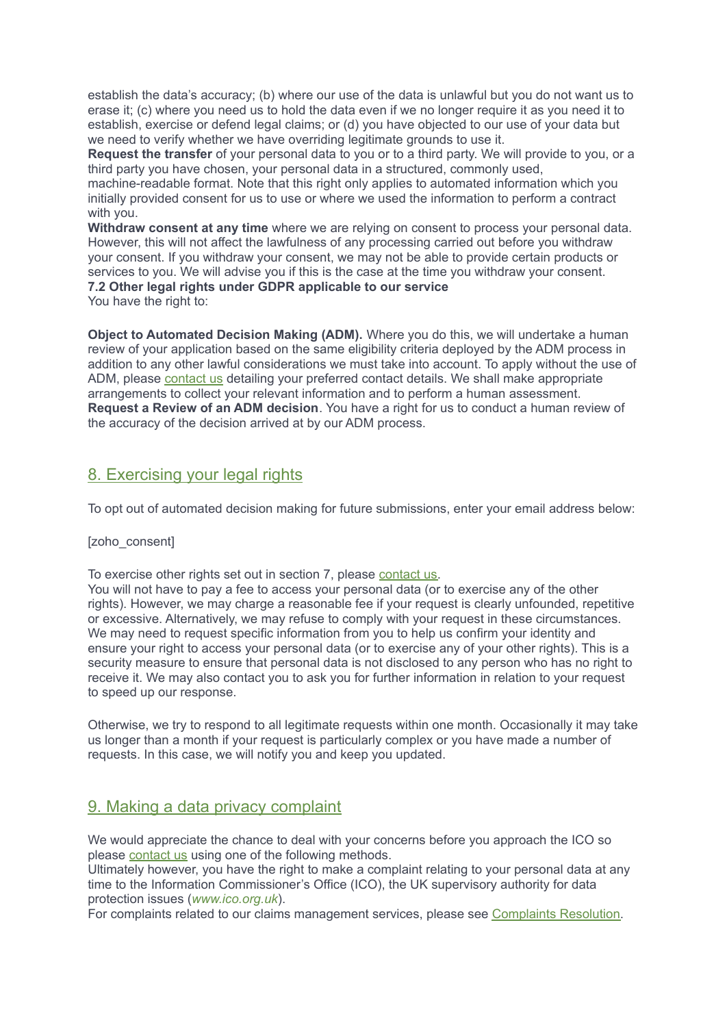establish the data's accuracy; (b) where our use of the data is unlawful but you do not want us to erase it; (c) where you need us to hold the data even if we no longer require it as you need it to establish, exercise or defend legal claims; or (d) you have objected to our use of your data but we need to verify whether we have overriding legitimate grounds to use it.

**Request the transfer** of your personal data to you or to a third party. We will provide to you, or a third party you have chosen, your personal data in a structured, commonly used, machine-readable format. Note that this right only applies to automated information which you initially provided consent for us to use or where we used the information to perform a contract with you.

**Withdraw consent at any time** where we are relying on consent to process your personal data. However, this will not affect the lawfulness of any processing carried out before you withdraw your consent. If you withdraw your consent, we may not be able to provide certain products or services to you. We will advise you if this is the case at the time you withdraw your consent.

# **7.2 Other legal rights under GDPR applicable to our service**

You have the right to:

**Object to Automated Decision Making (ADM).** Where you do this, we will undertake a human review of your application based on the same eligibility criteria deployed by the ADM process in addition to any other lawful considerations we must take into account. To apply without the use of ADM, please [contact us](https://allegiant.co.uk/contact-us/) detailing your preferred contact details. We shall make appropriate arrangements to collect your relevant information and to perform a human assessment. **Request a Review of an ADM decision**. You have a right for us to conduct a human review of the accuracy of the decision arrived at by our ADM process.

# 8. Exercising your legal rights

To opt out of automated decision making for future submissions, enter your email address below:

#### [zoho\_consent]

To exercise other rights set out in section 7, please [contact](https://allegiant.co.uk/contact-us/) us.

You will not have to pay a fee to access your personal data (or to exercise any of the other rights). However, we may charge a reasonable fee if your request is clearly unfounded, repetitive or excessive. Alternatively, we may refuse to comply with your request in these circumstances. We may need to request specific information from you to help us confirm your identity and ensure your right to access your personal data (or to exercise any of your other rights). This is a security measure to ensure that personal data is not disclosed to any person who has no right to receive it. We may also contact you to ask you for further information in relation to your request to speed up our response.

Otherwise, we try to respond to all legitimate requests within one month. Occasionally it may take us longer than a month if your request is particularly complex or you have made a number of requests. In this case, we will notify you and keep you updated.

# 9. Making a data privacy complaint

We would appreciate the chance to deal with your concerns before you approach the ICO so please [contact us](https://allegiant.co.uk/contact-us/) using one of the following methods.

Ultimately however, you have the right to make a complaint relating to your personal data at any time to the Information Commissioner's Office (ICO), the UK supervisory authority for data protection issues (*[www.ico.org.uk](http://www.ico.org.uk/)*).

For complaints related to our claims management services, please see [Complaints Resolution.](https://allegiant.co.uk/legal/complaints-resolution/)